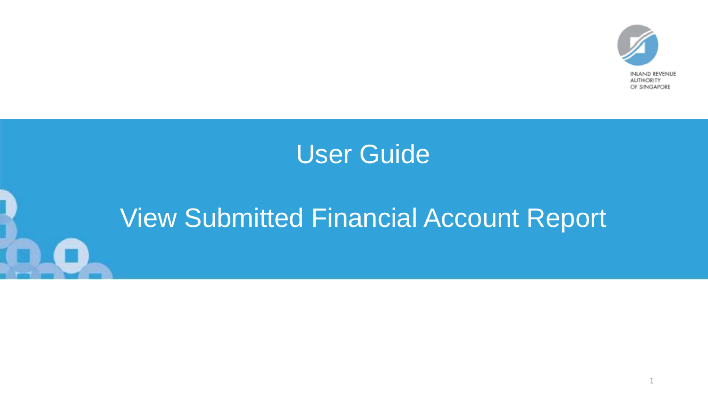

# User Guide

# View Submitted Financial Account Report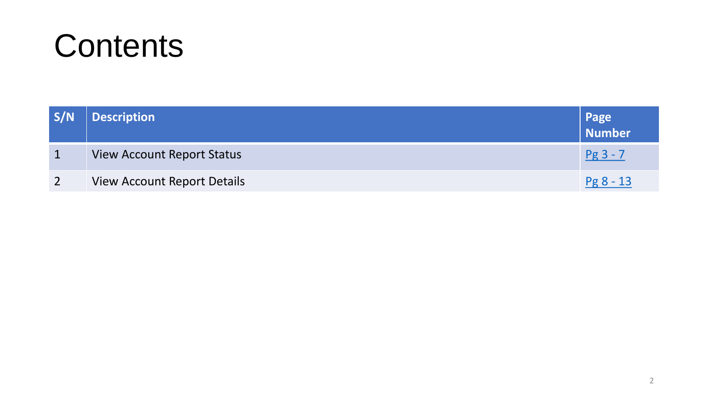

| S/N | <b>Description</b>                 | Page<br>Number |
|-----|------------------------------------|----------------|
|     | <b>View Account Report Status</b>  | $Pg3 - 7$      |
|     | <b>View Account Report Details</b> | $Pg8 - 13$     |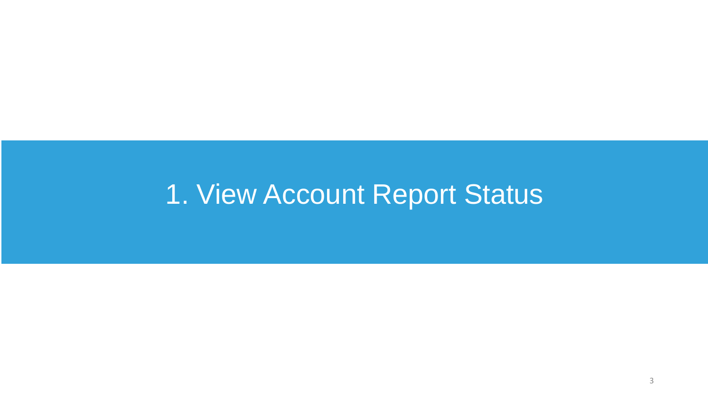# <span id="page-2-0"></span>1. View Account Report Status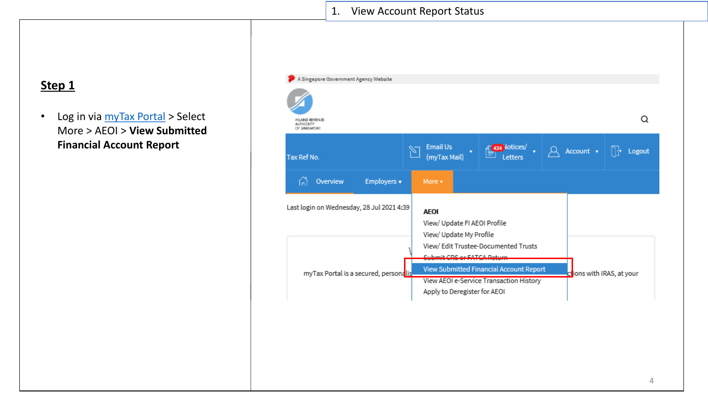## 1. View Account Report Status

# **Step 1**

• Log in via [myTax Portal](https://mytax.iras.gov.sg/ESVWeb/default.aspx) > Select More > AEOI > **View Submitted Financial Account Report**

| A Singapore Government Agency Website              |                                                                                                             |                                                                                    |                   |                           |
|----------------------------------------------------|-------------------------------------------------------------------------------------------------------------|------------------------------------------------------------------------------------|-------------------|---------------------------|
| INLAND REVENUE<br><b>AUTHORITY</b><br>OF SINGAPORE |                                                                                                             |                                                                                    |                   | O                         |
| Tax Ref No.                                        | <b>Email Us</b><br>v<br>(myTax Mail)                                                                        | 434 lotices/<br>Letters                                                            | Account $\sqrt{}$ | Logout                    |
| Employers v<br>Overview<br>íп                      | More v                                                                                                      |                                                                                    |                   |                           |
| Last login on Wednesday, 28 Jul 2021 4:39          | <b>AFOI</b><br>View/ Update FI AEOI Profile<br>View/ Update My Profile<br><b>Cubosit CDC or EATCA Datum</b> | View/ Edit Trustee-Documented Trusts                                               |                   |                           |
| myTax Portal is a secured, personalis              | Apply to Deregister for AEOI                                                                                | View Submitted Financial Account Report<br>View AEOI e-Service Transaction History |                   | ctions with IRAS, at your |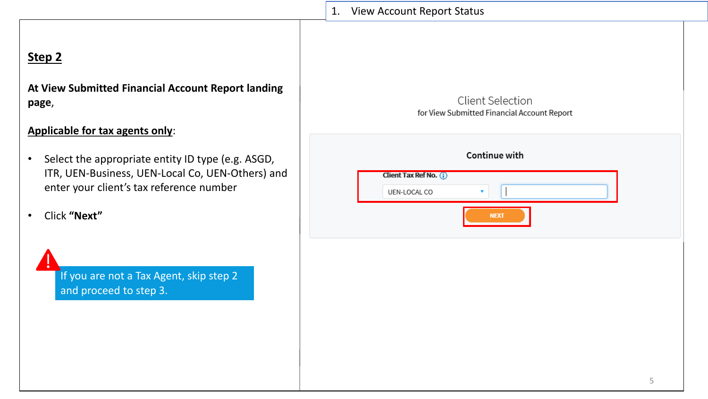# 1. View Account Report StatusClient Selection for View Submitted Financial Account Report Continue with Client Tax Ref No. (i) UEN-LOCAL CO **NEXT** 5

# **Step 2**

**At View Submitted Financial Account Report landing page**,

## **Applicable for tax agents only**:

- Select the appropriate entity ID type (e.g. ASGD, ITR, UEN-Business, UEN-Local Co, UEN-Others) and enter your client's tax reference number
- Click **"Next"**

If you are not a Tax Agent, skip step 2 and proceed to step 3.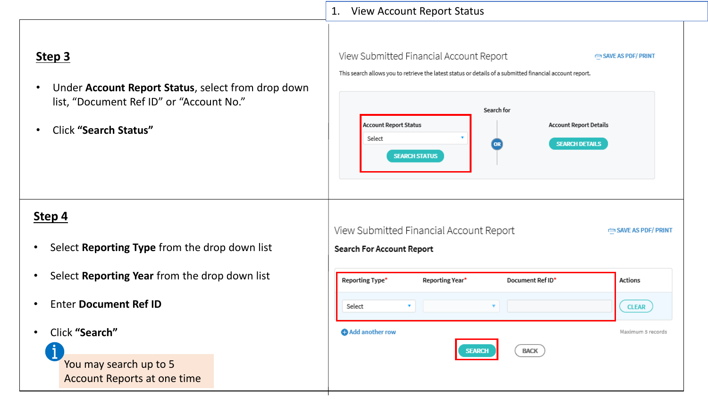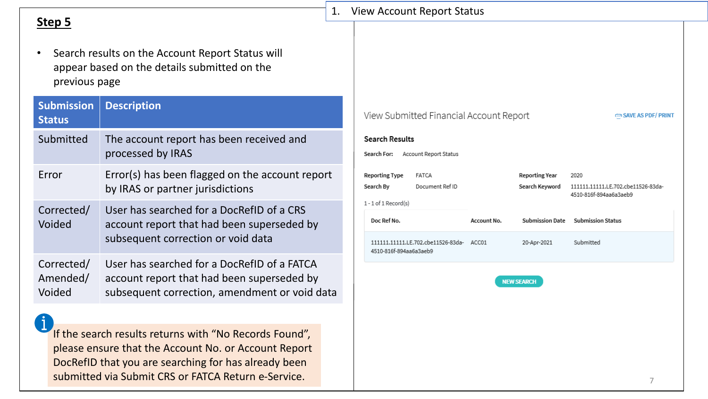|                                    |                                                                                                                                                                                                                               | 1. | <b>View Account Report Status</b>                                                                       |                      |                                       |                                                                      |  |
|------------------------------------|-------------------------------------------------------------------------------------------------------------------------------------------------------------------------------------------------------------------------------|----|---------------------------------------------------------------------------------------------------------|----------------------|---------------------------------------|----------------------------------------------------------------------|--|
| Step 5<br>previous page            | Search results on the Account Report Status will<br>appear based on the details submitted on the                                                                                                                              |    |                                                                                                         |                      |                                       |                                                                      |  |
| <b>Submission</b><br><b>Status</b> | <b>Description</b>                                                                                                                                                                                                            |    | View Submitted Financial Account Report                                                                 |                      |                                       | SAVE AS PDF/ PRINT                                                   |  |
| Submitted                          | The account report has been received and<br>processed by IRAS                                                                                                                                                                 |    | <b>Search Results</b><br>Account Report Status<br>Search For:                                           |                      |                                       |                                                                      |  |
| Error                              | Error(s) has been flagged on the account report<br>by IRAS or partner jurisdictions                                                                                                                                           |    | <b>Reporting Type</b><br><b>FATCA</b><br>Search By<br>Document Ref ID                                   |                      | Reporting Year<br>Search Keyword      | 2020<br>111111.11111.LE.702.cbe11526-83da-<br>4510-816f-894aa6a3aeb9 |  |
| Corrected/<br>Voided               | User has searched for a DocRefID of a CRS<br>account report that had been superseded by<br>subsequent correction or void data                                                                                                 |    | $1 - 1$ of $1$ Record(s)<br>Doc Ref No.<br>111111.11111.LE.702.cbe11526-83da-<br>4510-816f-894aa6a3aeb9 | Account No.<br>ACC01 | <b>Submission Date</b><br>20-Apr-2021 | <b>Submission Status</b><br>Submitted                                |  |
| Corrected/<br>Amended/<br>Voided   | User has searched for a DocRefID of a FATCA<br>account report that had been superseded by<br>subsequent correction, amendment or void data                                                                                    |    |                                                                                                         |                      | <b>NEW SEARCH</b>                     |                                                                      |  |
|                                    |                                                                                                                                                                                                                               |    |                                                                                                         |                      |                                       |                                                                      |  |
|                                    | If the search results returns with "No Records Found",<br>please ensure that the Account No. or Account Report<br>DocRefID that you are searching for has already been<br>submitted via Submit CRS or FATCA Return e-Service. |    |                                                                                                         |                      |                                       | 7                                                                    |  |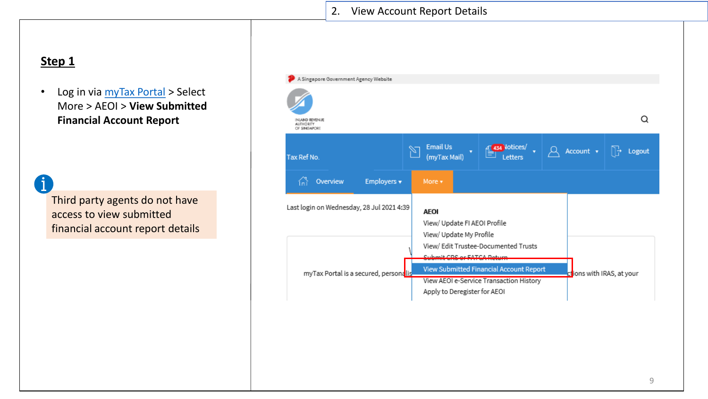## **Step 1**

Ť

• Log in via [myTax Portal](https://mytax.iras.gov.sg/ESVWeb/default.aspx) > Select More > AEOI > **View Submitted Financial Account Report**

Third party agents do not have access to view submitted financial account report details

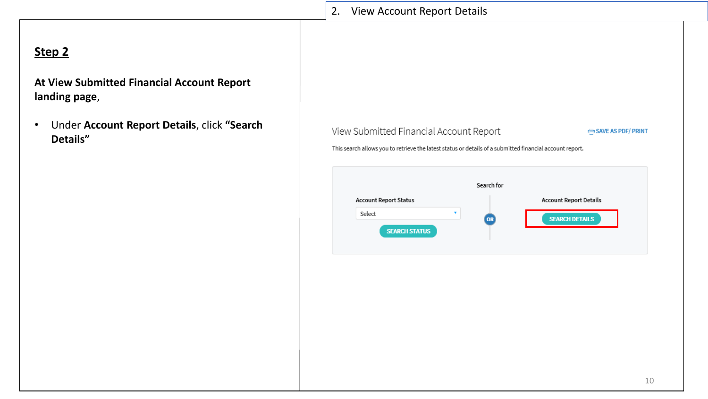| 2. | <b>View Account Report Details</b>                                                                       |                |                               |
|----|----------------------------------------------------------------------------------------------------------|----------------|-------------------------------|
|    |                                                                                                          |                |                               |
|    |                                                                                                          |                |                               |
|    |                                                                                                          |                |                               |
|    |                                                                                                          |                |                               |
|    |                                                                                                          |                |                               |
|    |                                                                                                          |                |                               |
|    | View Submitted Financial Account Report                                                                  |                | SAVE AS PDF/ PRINT            |
|    | This search allows you to retrieve the latest status or details of a submitted financial account report. |                |                               |
|    |                                                                                                          |                |                               |
|    |                                                                                                          | Search for     |                               |
|    | <b>Account Report Status</b>                                                                             |                | <b>Account Report Details</b> |
|    | Select                                                                                                   | ۰<br><b>OR</b> | <b>SEARCH DETAILS</b>         |
|    | <b>SEARCH STATUS</b>                                                                                     |                |                               |
|    |                                                                                                          |                |                               |
|    |                                                                                                          |                |                               |
|    |                                                                                                          |                |                               |
|    |                                                                                                          |                |                               |
|    |                                                                                                          |                |                               |
|    |                                                                                                          |                |                               |
|    |                                                                                                          |                |                               |
|    |                                                                                                          |                |                               |

# **Step 2**

**At View Submitted Financial Account Report landing page**,

• Under **Account Report Details**, click **"Search Details"**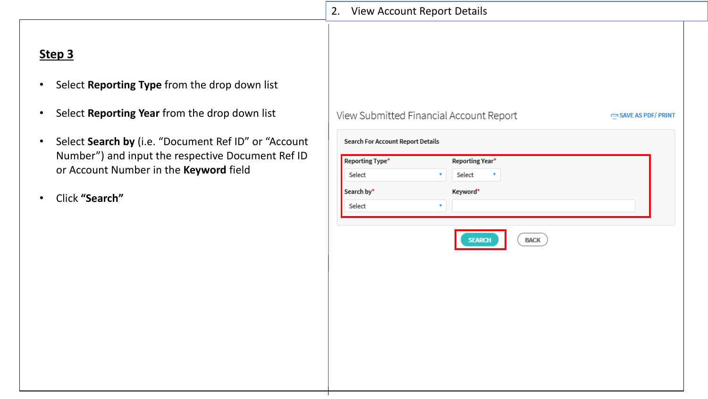# **Step 3**

- Select **Reporting Type** from the drop down list
- Select **Reporting Year** from the drop down list
- Select **Search by** (i.e. "Document Ref ID" or "Account Number") and input the respective Document Ref ID or Account Number in the **Keyword** field
- Click **"Search"**

|                                   | 2. View Account Report Details          |                   |
|-----------------------------------|-----------------------------------------|-------------------|
|                                   |                                         |                   |
|                                   |                                         |                   |
|                                   |                                         |                   |
|                                   |                                         |                   |
|                                   |                                         |                   |
|                                   |                                         |                   |
|                                   | View Submitted Financial Account Report | SAVE AS PDF/PRINT |
|                                   |                                         |                   |
| Search For Account Report Details |                                         |                   |
| Reporting Type*                   | Reporting Year*                         |                   |
| Select                            | Select<br>۷                             |                   |
| Search by*                        | Keyword*                                |                   |
| Select                            | ۷                                       |                   |
|                                   |                                         |                   |
|                                   |                                         |                   |
|                                   | <b>SEARCH</b><br><b>BACK</b>            |                   |
|                                   |                                         |                   |
|                                   |                                         |                   |
|                                   |                                         |                   |
|                                   |                                         |                   |
|                                   |                                         |                   |
|                                   |                                         |                   |
|                                   |                                         |                   |
|                                   |                                         |                   |
|                                   |                                         |                   |
|                                   |                                         |                   |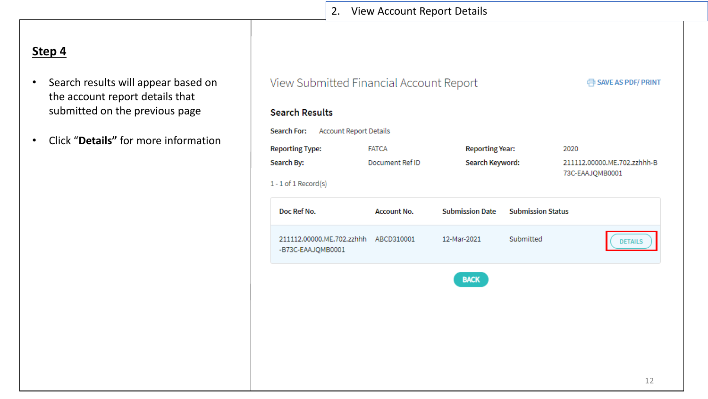# **Step 4**

- Search results will appear based on the account report details that submitted on the previous page
- Click "**Details"** for more information

| View Submitted Financial Account Report<br><b>EDISAVE AS PDF/ PRINT</b> |                                    |                        |                          |                             |  |  |  |  |  |
|-------------------------------------------------------------------------|------------------------------------|------------------------|--------------------------|-----------------------------|--|--|--|--|--|
| <b>Search Results</b>                                                   |                                    |                        |                          |                             |  |  |  |  |  |
| Search For:<br><b>Account Report Details</b>                            |                                    |                        |                          |                             |  |  |  |  |  |
| <b>Reporting Type:</b>                                                  | <b>FATCA</b>                       | <b>Reporting Year:</b> |                          | 2020                        |  |  |  |  |  |
| Search By:                                                              | Document Ref ID<br>Search Keyword: |                        |                          | 211112.00000.ME.702.zzhhh-B |  |  |  |  |  |
| $1 - 1$ of $1$ Record(s)                                                |                                    |                        |                          | 73C-EAAJQMB0001             |  |  |  |  |  |
| Doc Ref No.                                                             | <b>Account No.</b>                 | <b>Submission Date</b> | <b>Submission Status</b> |                             |  |  |  |  |  |
| 211112.00000.ME.702.zzhhh ABCD310001<br>-B73C-EAAJQMB0001               |                                    | 12-Mar-2021            | Submitted                | <b>DETAILS</b>              |  |  |  |  |  |
|                                                                         |                                    | <b>BACK</b>            |                          |                             |  |  |  |  |  |
|                                                                         |                                    |                        |                          |                             |  |  |  |  |  |
|                                                                         |                                    |                        |                          |                             |  |  |  |  |  |
|                                                                         |                                    |                        |                          |                             |  |  |  |  |  |
|                                                                         |                                    |                        |                          |                             |  |  |  |  |  |
|                                                                         |                                    |                        |                          | 12                          |  |  |  |  |  |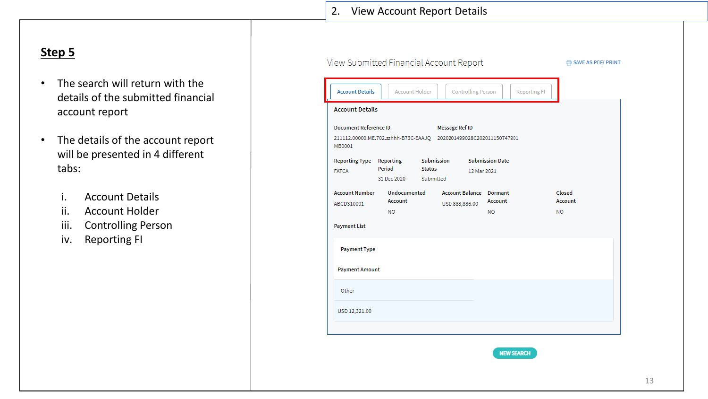# **Step 5**

- The search will return with the details of the submitted financial account report
- The details of the account report will be presented in 4 different tabs:
	- i. Account Details
	- ii. Account Holder
	- iii. Controlling Person
	- iv. Reporting FI

| View Submitted Financial Account Report               | SAVE AS PDF/ PRINT    |                                                                    |                                |                        |                     |                |  |  |  |
|-------------------------------------------------------|-----------------------|--------------------------------------------------------------------|--------------------------------|------------------------|---------------------|----------------|--|--|--|
| <b>Account Details</b>                                | <b>Account Holder</b> |                                                                    | <b>Controlling Person</b>      |                        | <b>Reporting FI</b> |                |  |  |  |
| <b>Account Details</b>                                |                       |                                                                    |                                |                        |                     |                |  |  |  |
| <b>Document Reference ID</b><br><b>Message Ref ID</b> |                       |                                                                    |                                |                        |                     |                |  |  |  |
| MB0001                                                |                       | 211112.00000.ME.702.zzhhh-B73C-EAAJO 2020201499028C202011150747901 |                                |                        |                     |                |  |  |  |
| Reporting Type Reporting                              |                       | <b>Submission</b>                                                  |                                | <b>Submission Date</b> |                     |                |  |  |  |
| <b>FATCA</b>                                          | Period                | <b>Status</b>                                                      | 12 Mar 2021                    |                        |                     |                |  |  |  |
|                                                       | 31 Dec 2020           | Submitted                                                          |                                |                        |                     |                |  |  |  |
| <b>Account Number</b>                                 | <b>Undocumented</b>   |                                                                    | <b>Account Balance Dormant</b> |                        |                     | Closed         |  |  |  |
| ABCD310001                                            | Account               |                                                                    | USD 888,886.00                 | Account                |                     | <b>Account</b> |  |  |  |
|                                                       | <b>NO</b>             |                                                                    |                                | <b>NO</b>              |                     | <b>NO</b>      |  |  |  |
| <b>Payment List</b>                                   |                       |                                                                    |                                |                        |                     |                |  |  |  |
| <b>Payment Type</b>                                   |                       |                                                                    |                                |                        |                     |                |  |  |  |
| <b>Payment Amount</b>                                 |                       |                                                                    |                                |                        |                     |                |  |  |  |
| Other                                                 |                       |                                                                    |                                |                        |                     |                |  |  |  |
| USD 12,321.00                                         |                       |                                                                    |                                |                        |                     |                |  |  |  |
|                                                       |                       |                                                                    |                                |                        |                     |                |  |  |  |
|                                                       |                       |                                                                    |                                |                        |                     |                |  |  |  |